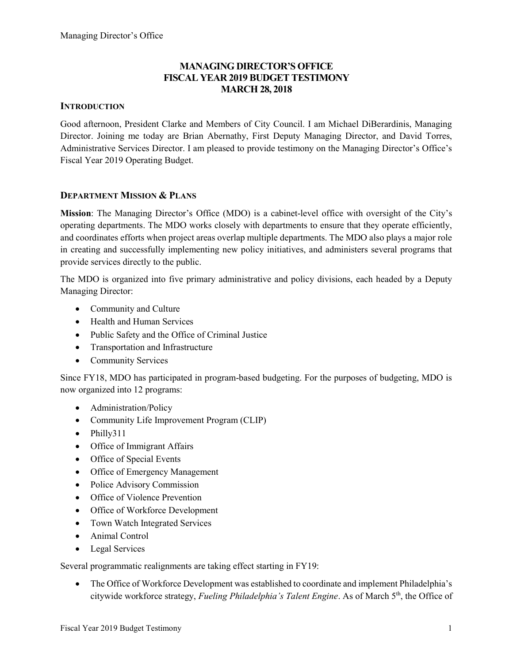# MANAGING DIRECTOR'S OFFICE FISCAL YEAR 2019 BUDGET TESTIMONY MARCH 28, 2018

## **INTRODUCTION**

Good afternoon, President Clarke and Members of City Council. I am Michael DiBerardinis, Managing Director. Joining me today are Brian Abernathy, First Deputy Managing Director, and David Torres, Administrative Services Director. I am pleased to provide testimony on the Managing Director's Office's Fiscal Year 2019 Operating Budget.

### DEPARTMENT MISSION & PLANS

Mission: The Managing Director's Office (MDO) is a cabinet-level office with oversight of the City's operating departments. The MDO works closely with departments to ensure that they operate efficiently, and coordinates efforts when project areas overlap multiple departments. The MDO also plays a major role in creating and successfully implementing new policy initiatives, and administers several programs that provide services directly to the public.

The MDO is organized into five primary administrative and policy divisions, each headed by a Deputy Managing Director:

- Community and Culture
- Health and Human Services
- Public Safety and the Office of Criminal Justice
- Transportation and Infrastructure
- Community Services

Since FY18, MDO has participated in program-based budgeting. For the purposes of budgeting, MDO is now organized into 12 programs:

- Administration/Policy
- Community Life Improvement Program (CLIP)
- Philly311
- Office of Immigrant Affairs
- Office of Special Events
- Office of Emergency Management
- Police Advisory Commission
- Office of Violence Prevention
- Office of Workforce Development
- Town Watch Integrated Services
- Animal Control
- Legal Services

Several programmatic realignments are taking effect starting in FY19:

• The Office of Workforce Development was established to coordinate and implement Philadelphia's citywide workforce strategy, Fueling Philadelphia's Talent Engine. As of March 5th, the Office of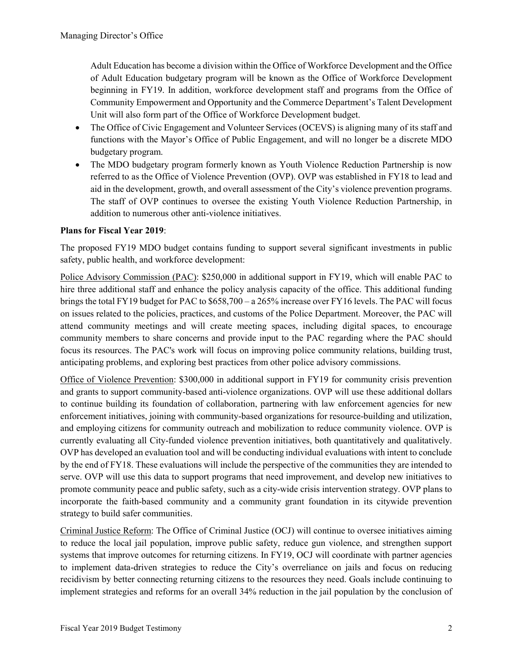Adult Education has become a division within the Office of Workforce Development and the Office of Adult Education budgetary program will be known as the Office of Workforce Development beginning in FY19. In addition, workforce development staff and programs from the Office of Community Empowerment and Opportunity and the Commerce Department's Talent Development Unit will also form part of the Office of Workforce Development budget.

- The Office of Civic Engagement and Volunteer Services (OCEVS) is aligning many of its staff and functions with the Mayor's Office of Public Engagement, and will no longer be a discrete MDO budgetary program.
- The MDO budgetary program formerly known as Youth Violence Reduction Partnership is now referred to as the Office of Violence Prevention (OVP). OVP was established in FY18 to lead and aid in the development, growth, and overall assessment of the City's violence prevention programs. The staff of OVP continues to oversee the existing Youth Violence Reduction Partnership, in addition to numerous other anti-violence initiatives.

# Plans for Fiscal Year 2019:

The proposed FY19 MDO budget contains funding to support several significant investments in public safety, public health, and workforce development:

Police Advisory Commission (PAC): \$250,000 in additional support in FY19, which will enable PAC to hire three additional staff and enhance the policy analysis capacity of the office. This additional funding brings the total FY19 budget for PAC to \$658,700 – a 265% increase over FY16 levels. The PAC will focus on issues related to the policies, practices, and customs of the Police Department. Moreover, the PAC will attend community meetings and will create meeting spaces, including digital spaces, to encourage community members to share concerns and provide input to the PAC regarding where the PAC should focus its resources. The PAC's work will focus on improving police community relations, building trust, anticipating problems, and exploring best practices from other police advisory commissions.

Office of Violence Prevention: \$300,000 in additional support in FY19 for community crisis prevention and grants to support community-based anti-violence organizations. OVP will use these additional dollars to continue building its foundation of collaboration, partnering with law enforcement agencies for new enforcement initiatives, joining with community-based organizations for resource-building and utilization, and employing citizens for community outreach and mobilization to reduce community violence. OVP is currently evaluating all City-funded violence prevention initiatives, both quantitatively and qualitatively. OVP has developed an evaluation tool and will be conducting individual evaluations with intent to conclude by the end of FY18. These evaluations will include the perspective of the communities they are intended to serve. OVP will use this data to support programs that need improvement, and develop new initiatives to promote community peace and public safety, such as a city-wide crisis intervention strategy. OVP plans to incorporate the faith-based community and a community grant foundation in its citywide prevention strategy to build safer communities.

Criminal Justice Reform: The Office of Criminal Justice (OCJ) will continue to oversee initiatives aiming to reduce the local jail population, improve public safety, reduce gun violence, and strengthen support systems that improve outcomes for returning citizens. In FY19, OCJ will coordinate with partner agencies to implement data-driven strategies to reduce the City's overreliance on jails and focus on reducing recidivism by better connecting returning citizens to the resources they need. Goals include continuing to implement strategies and reforms for an overall 34% reduction in the jail population by the conclusion of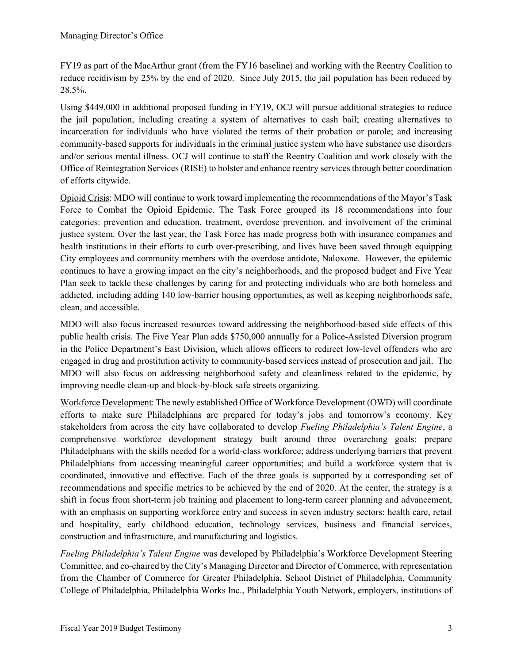FY19 as part of the MacArthur grant (from the FY16 baseline) and working with the Reentry Coalition to reduce recidivism by 25% by the end of 2020. Since July 2015, the jail population has been reduced by 28.5%.

Using \$449,000 in additional proposed funding in FY19, OCJ will pursue additional strategies to reduce the jail population, including creating a system of alternatives to cash bail; creating alternatives to incarceration for individuals who have violated the terms of their probation or parole; and increasing community-based supports for individuals in the criminal justice system who have substance use disorders and/or serious mental illness. OCJ will continue to staff the Reentry Coalition and work closely with the Office of Reintegration Services (RISE) to bolster and enhance reentry services through better coordination of efforts citywide.

Opioid Crisis: MDO will continue to work toward implementing the recommendations of the Mayor's Task Force to Combat the Opioid Epidemic. The Task Force grouped its 18 recommendations into four categories: prevention and education, treatment, overdose prevention, and involvement of the criminal justice system. Over the last year, the Task Force has made progress both with insurance companies and health institutions in their efforts to curb over-prescribing, and lives have been saved through equipping City employees and community members with the overdose antidote, Naloxone. However, the epidemic continues to have a growing impact on the city's neighborhoods, and the proposed budget and Five Year Plan seek to tackle these challenges by caring for and protecting individuals who are both homeless and addicted, including adding 140 low-barrier housing opportunities, as well as keeping neighborhoods safe, clean, and accessible.

MDO will also focus increased resources toward addressing the neighborhood-based side effects of this public health crisis. The Five Year Plan adds \$750,000 annually for a Police-Assisted Diversion program in the Police Department's East Division, which allows officers to redirect low-level offenders who are engaged in drug and prostitution activity to community-based services instead of prosecution and jail. The MDO will also focus on addressing neighborhood safety and cleanliness related to the epidemic, by improving needle clean-up and block-by-block safe streets organizing.

Workforce Development: The newly established Office of Workforce Development (OWD) will coordinate efforts to make sure Philadelphians are prepared for today's jobs and tomorrow's economy. Key stakeholders from across the city have collaborated to develop *Fueling Philadelphia's Talent Engine*, a comprehensive workforce development strategy built around three overarching goals: prepare Philadelphians with the skills needed for a world-class workforce; address underlying barriers that prevent Philadelphians from accessing meaningful career opportunities; and build a workforce system that is coordinated, innovative and effective. Each of the three goals is supported by a corresponding set of recommendations and specific metrics to be achieved by the end of 2020. At the center, the strategy is a shift in focus from short-term job training and placement to long-term career planning and advancement, with an emphasis on supporting workforce entry and success in seven industry sectors: health care, retail and hospitality, early childhood education, technology services, business and financial services, construction and infrastructure, and manufacturing and logistics.

Fueling Philadelphia's Talent Engine was developed by Philadelphia's Workforce Development Steering Committee, and co-chaired by the City's Managing Director and Director of Commerce, with representation from the Chamber of Commerce for Greater Philadelphia, School District of Philadelphia, Community College of Philadelphia, Philadelphia Works Inc., Philadelphia Youth Network, employers, institutions of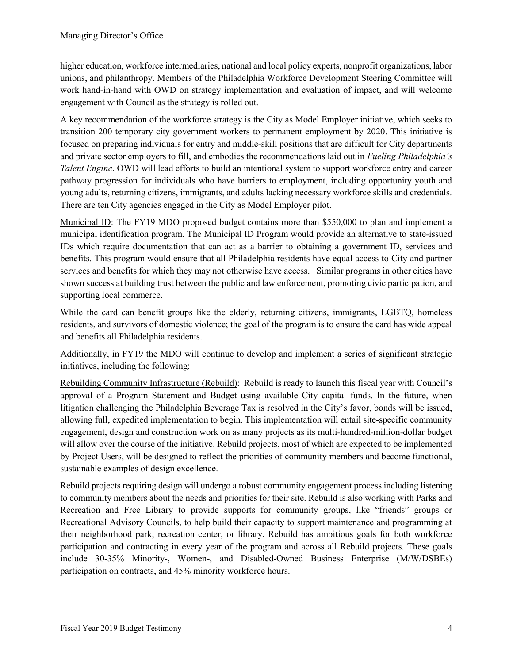higher education, workforce intermediaries, national and local policy experts, nonprofit organizations, labor unions, and philanthropy. Members of the Philadelphia Workforce Development Steering Committee will work hand-in-hand with OWD on strategy implementation and evaluation of impact, and will welcome engagement with Council as the strategy is rolled out.

A key recommendation of the workforce strategy is the City as Model Employer initiative, which seeks to transition 200 temporary city government workers to permanent employment by 2020. This initiative is focused on preparing individuals for entry and middle-skill positions that are difficult for City departments and private sector employers to fill, and embodies the recommendations laid out in *Fueling Philadelphia's* Talent Engine. OWD will lead efforts to build an intentional system to support workforce entry and career pathway progression for individuals who have barriers to employment, including opportunity youth and young adults, returning citizens, immigrants, and adults lacking necessary workforce skills and credentials. There are ten City agencies engaged in the City as Model Employer pilot.

Municipal ID: The FY19 MDO proposed budget contains more than \$550,000 to plan and implement a municipal identification program. The Municipal ID Program would provide an alternative to state-issued IDs which require documentation that can act as a barrier to obtaining a government ID, services and benefits. This program would ensure that all Philadelphia residents have equal access to City and partner services and benefits for which they may not otherwise have access. Similar programs in other cities have shown success at building trust between the public and law enforcement, promoting civic participation, and supporting local commerce.

While the card can benefit groups like the elderly, returning citizens, immigrants, LGBTQ, homeless residents, and survivors of domestic violence; the goal of the program is to ensure the card has wide appeal and benefits all Philadelphia residents.

Additionally, in FY19 the MDO will continue to develop and implement a series of significant strategic initiatives, including the following:

Rebuilding Community Infrastructure (Rebuild): Rebuild is ready to launch this fiscal year with Council's approval of a Program Statement and Budget using available City capital funds. In the future, when litigation challenging the Philadelphia Beverage Tax is resolved in the City's favor, bonds will be issued, allowing full, expedited implementation to begin. This implementation will entail site-specific community engagement, design and construction work on as many projects as its multi-hundred-million-dollar budget will allow over the course of the initiative. Rebuild projects, most of which are expected to be implemented by Project Users, will be designed to reflect the priorities of community members and become functional, sustainable examples of design excellence.

Rebuild projects requiring design will undergo a robust community engagement process including listening to community members about the needs and priorities for their site. Rebuild is also working with Parks and Recreation and Free Library to provide supports for community groups, like "friends" groups or Recreational Advisory Councils, to help build their capacity to support maintenance and programming at their neighborhood park, recreation center, or library. Rebuild has ambitious goals for both workforce participation and contracting in every year of the program and across all Rebuild projects. These goals include 30-35% Minority-, Women-, and Disabled-Owned Business Enterprise (M/W/DSBEs) participation on contracts, and 45% minority workforce hours.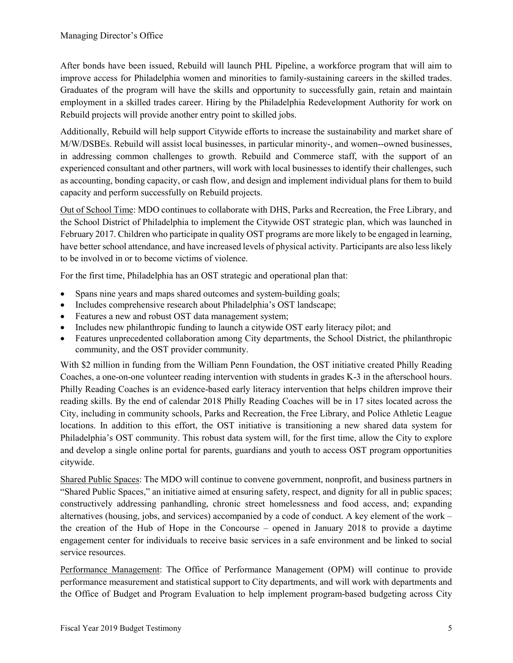After bonds have been issued, Rebuild will launch PHL Pipeline, a workforce program that will aim to improve access for Philadelphia women and minorities to family-sustaining careers in the skilled trades. Graduates of the program will have the skills and opportunity to successfully gain, retain and maintain employment in a skilled trades career. Hiring by the Philadelphia Redevelopment Authority for work on Rebuild projects will provide another entry point to skilled jobs.

Additionally, Rebuild will help support Citywide efforts to increase the sustainability and market share of M/W/DSBEs. Rebuild will assist local businesses, in particular minority-, and women--owned businesses, in addressing common challenges to growth. Rebuild and Commerce staff, with the support of an experienced consultant and other partners, will work with local businesses to identify their challenges, such as accounting, bonding capacity, or cash flow, and design and implement individual plans for them to build capacity and perform successfully on Rebuild projects.

Out of School Time: MDO continues to collaborate with DHS, Parks and Recreation, the Free Library, and the School District of Philadelphia to implement the Citywide OST strategic plan, which was launched in February 2017. Children who participate in quality OST programs are more likely to be engaged in learning, have better school attendance, and have increased levels of physical activity. Participants are also less likely to be involved in or to become victims of violence.

For the first time, Philadelphia has an OST strategic and operational plan that:

- Spans nine years and maps shared outcomes and system-building goals;
- Includes comprehensive research about Philadelphia's OST landscape;
- Features a new and robust OST data management system;
- Includes new philanthropic funding to launch a citywide OST early literacy pilot; and
- Features unprecedented collaboration among City departments, the School District, the philanthropic community, and the OST provider community.

With \$2 million in funding from the William Penn Foundation, the OST initiative created Philly Reading Coaches, a one-on-one volunteer reading intervention with students in grades K-3 in the afterschool hours. Philly Reading Coaches is an evidence-based early literacy intervention that helps children improve their reading skills. By the end of calendar 2018 Philly Reading Coaches will be in 17 sites located across the City, including in community schools, Parks and Recreation, the Free Library, and Police Athletic League locations. In addition to this effort, the OST initiative is transitioning a new shared data system for Philadelphia's OST community. This robust data system will, for the first time, allow the City to explore and develop a single online portal for parents, guardians and youth to access OST program opportunities citywide.

Shared Public Spaces: The MDO will continue to convene government, nonprofit, and business partners in "Shared Public Spaces," an initiative aimed at ensuring safety, respect, and dignity for all in public spaces; constructively addressing panhandling, chronic street homelessness and food access, and; expanding alternatives (housing, jobs, and services) accompanied by a code of conduct. A key element of the work – the creation of the Hub of Hope in the Concourse – opened in January 2018 to provide a daytime engagement center for individuals to receive basic services in a safe environment and be linked to social service resources.

Performance Management: The Office of Performance Management (OPM) will continue to provide performance measurement and statistical support to City departments, and will work with departments and the Office of Budget and Program Evaluation to help implement program-based budgeting across City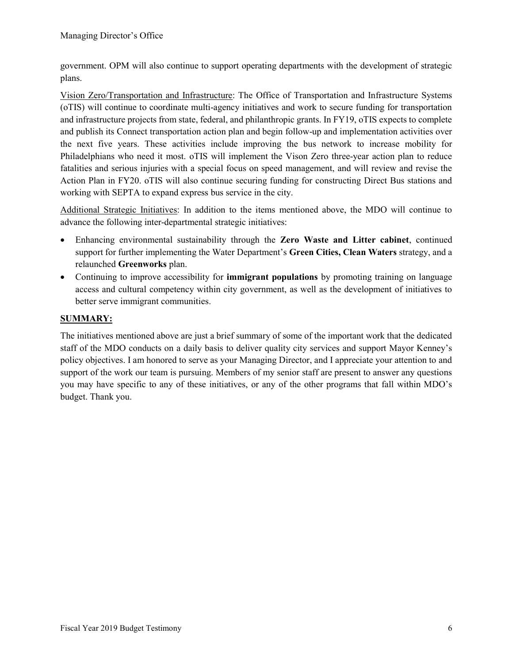government. OPM will also continue to support operating departments with the development of strategic plans.

Vision Zero/Transportation and Infrastructure: The Office of Transportation and Infrastructure Systems (oTIS) will continue to coordinate multi-agency initiatives and work to secure funding for transportation and infrastructure projects from state, federal, and philanthropic grants. In FY19, oTIS expects to complete and publish its Connect transportation action plan and begin follow-up and implementation activities over the next five years. These activities include improving the bus network to increase mobility for Philadelphians who need it most. oTIS will implement the Vison Zero three-year action plan to reduce fatalities and serious injuries with a special focus on speed management, and will review and revise the Action Plan in FY20. oTIS will also continue securing funding for constructing Direct Bus stations and working with SEPTA to expand express bus service in the city.

Additional Strategic Initiatives: In addition to the items mentioned above, the MDO will continue to advance the following inter-departmental strategic initiatives:

- Enhancing environmental sustainability through the Zero Waste and Litter cabinet, continued support for further implementing the Water Department's Green Cities, Clean Waters strategy, and a relaunched Greenworks plan.
- Continuing to improve accessibility for **immigrant populations** by promoting training on language access and cultural competency within city government, as well as the development of initiatives to better serve immigrant communities.

# SUMMARY:

The initiatives mentioned above are just a brief summary of some of the important work that the dedicated staff of the MDO conducts on a daily basis to deliver quality city services and support Mayor Kenney's policy objectives. I am honored to serve as your Managing Director, and I appreciate your attention to and support of the work our team is pursuing. Members of my senior staff are present to answer any questions you may have specific to any of these initiatives, or any of the other programs that fall within MDO's budget. Thank you.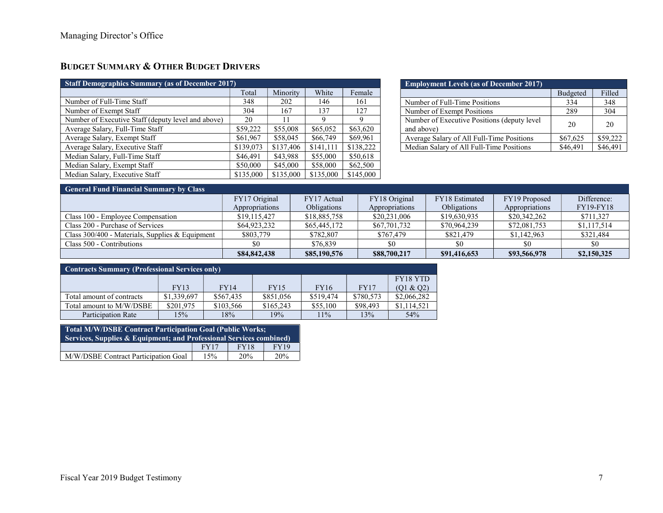# BUDGET SUMMARY & OTHER BUDGET DRIVERS

| <b>Staff Demographics Summary (as of December 2017)</b> |           |           |           |           |  |  |
|---------------------------------------------------------|-----------|-----------|-----------|-----------|--|--|
|                                                         | Total     | Minority  | White     | Female    |  |  |
| Number of Full-Time Staff                               | 348       | 202       | 146       | 161       |  |  |
| Number of Exempt Staff                                  | 304       | 167       | 137       | 127       |  |  |
| Number of Executive Staff (deputy level and above)      | 20        | 11        | Q         | 9         |  |  |
| Average Salary, Full-Time Staff                         | \$59,222  | \$55,008  | \$65,052  | \$63,620  |  |  |
| Average Salary, Exempt Staff                            | \$61,967  | \$58,045  | \$66,749  | \$69,961  |  |  |
| Average Salary, Executive Staff                         | \$139,073 | \$137,406 | \$141,111 | \$138,222 |  |  |
| Median Salary, Full-Time Staff                          | \$46,491  | \$43,988  | \$55,000  | \$50,618  |  |  |
| Median Salary, Exempt Staff                             | \$50,000  | \$45,000  | \$58,000  | \$62,500  |  |  |
| Median Salary, Executive Staff                          | \$135,000 | \$135,000 | \$135,000 | \$145,000 |  |  |

| <b>Employment Levels (as of December 2017)</b>             |          |          |
|------------------------------------------------------------|----------|----------|
|                                                            | Budgeted | Filled   |
| Number of Full-Time Positions                              | 334      | 348      |
| Number of Exempt Positions                                 | 289      | 304      |
| Number of Executive Positions (deputy level)<br>and above) | 20       | 20       |
| Average Salary of All Full-Time Positions                  | \$67,625 | \$59,222 |
| Median Salary of All Full-Time Positions                   | \$46,491 | \$46,491 |

# General Fund Financial Summary by Class

| <b>COLOGIE FUILLE FILLATION COMMUNIST</b> UP CLASS |                |              |                |                |                |                  |
|----------------------------------------------------|----------------|--------------|----------------|----------------|----------------|------------------|
|                                                    | FY17 Original  | FY17 Actual  | FY18 Original  | FY18 Estimated | FY19 Proposed  | Difference:      |
|                                                    | Appropriations | Obligations  | Appropriations | Obligations    | Appropriations | <b>FY19-FY18</b> |
| Class 100 - Emplovee Compensation                  | \$19,115,427   | \$18,885,758 | \$20,231,006   | \$19,630,935   | \$20,342,262   | \$711,327        |
| Class 200 - Purchase of Services                   | \$64,923,232   | \$65,445,172 | \$67,701,732   | \$70,964,239   | \$72,081,753   | \$1,117,514      |
| Class 300/400 - Materials, Supplies & Equipment    | \$803,779      | \$782,807    | \$767.479      | \$821,479      | \$1,142,963    | \$321,484        |
| Class 500 - Contributions                          |                | \$76,839     |                | \$0            |                | \$0              |
|                                                    | \$84,842,438   | \$85,190,576 | \$88,700,217   | \$91,416,653   | \$93,566,978   | \$2,150,325      |

| <b>Contracts Summary (Professional Services only)</b> |             |             |             |             |           |                 |
|-------------------------------------------------------|-------------|-------------|-------------|-------------|-----------|-----------------|
|                                                       |             |             |             |             |           | <b>FY18 YTD</b> |
|                                                       | <b>FY13</b> | <b>FY14</b> | <b>FY15</b> | <b>FY16</b> | FY17      | (01 & 02)       |
| Total amount of contracts                             | \$1,339,697 | \$567,435   | \$851,056   | \$519,474   | \$780,573 | \$2,066,282     |
| Total amount to M/W/DSBE                              | \$201,975   | \$103,566   | \$165,243   | \$55,100    | \$98,493  | \$1,114,521     |
| Participation Rate                                    | 15%         | 18%         | 19%         | 11%         | 13%       | 54%             |

| <b>Total M/W/DSBE Contract Participation Goal (Public Works;</b><br>Services, Supplies $\&$ Equipment; and Professional Services combined) |      |             |             |  |  |
|--------------------------------------------------------------------------------------------------------------------------------------------|------|-------------|-------------|--|--|
|                                                                                                                                            | FY17 | <b>FY18</b> | <b>FY19</b> |  |  |
| M/W/DSBE Contract Participation Goal                                                                                                       | 15%  | 20%         | 20%         |  |  |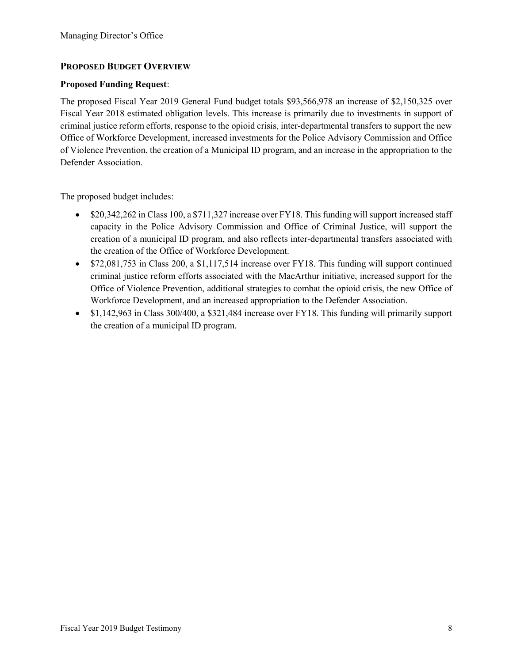## PROPOSED BUDGET OVERVIEW

### Proposed Funding Request:

The proposed Fiscal Year 2019 General Fund budget totals \$93,566,978 an increase of \$2,150,325 over Fiscal Year 2018 estimated obligation levels. This increase is primarily due to investments in support of criminal justice reform efforts, response to the opioid crisis, inter-departmental transfers to support the new Office of Workforce Development, increased investments for the Police Advisory Commission and Office of Violence Prevention, the creation of a Municipal ID program, and an increase in the appropriation to the Defender Association.

The proposed budget includes:

- $\bullet$  \$20,342,262 in Class 100, a \$711,327 increase over FY18. This funding will support increased staff capacity in the Police Advisory Commission and Office of Criminal Justice, will support the creation of a municipal ID program, and also reflects inter-departmental transfers associated with the creation of the Office of Workforce Development.
- $\bullet$  \$72,081,753 in Class 200, a \$1,117,514 increase over FY18. This funding will support continued criminal justice reform efforts associated with the MacArthur initiative, increased support for the Office of Violence Prevention, additional strategies to combat the opioid crisis, the new Office of Workforce Development, and an increased appropriation to the Defender Association.
- \$1,142,963 in Class 300/400, a \$321,484 increase over FY18. This funding will primarily support the creation of a municipal ID program.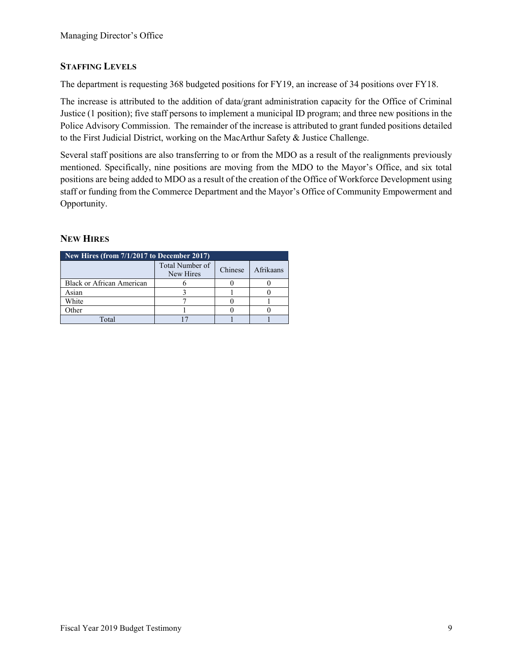# STAFFING LEVELS

The department is requesting 368 budgeted positions for FY19, an increase of 34 positions over FY18.

The increase is attributed to the addition of data/grant administration capacity for the Office of Criminal Justice (1 position); five staff persons to implement a municipal ID program; and three new positions in the Police Advisory Commission. The remainder of the increase is attributed to grant funded positions detailed to the First Judicial District, working on the MacArthur Safety & Justice Challenge.

Several staff positions are also transferring to or from the MDO as a result of the realignments previously mentioned. Specifically, nine positions are moving from the MDO to the Mayor's Office, and six total positions are being added to MDO as a result of the creation of the Office of Workforce Development using staff or funding from the Commerce Department and the Mayor's Office of Community Empowerment and Opportunity.

# NEW HIRES

| New Hires (from 7/1/2017 to December 2017) |                              |         |           |
|--------------------------------------------|------------------------------|---------|-----------|
|                                            | Total Number of<br>New Hires | Chinese | Afrikaans |
| <b>Black or African American</b>           |                              |         |           |
| Asian                                      |                              |         |           |
| White                                      |                              |         |           |
| Other                                      |                              |         |           |
| $\Gamma_{\alpha}$ tai                      |                              |         |           |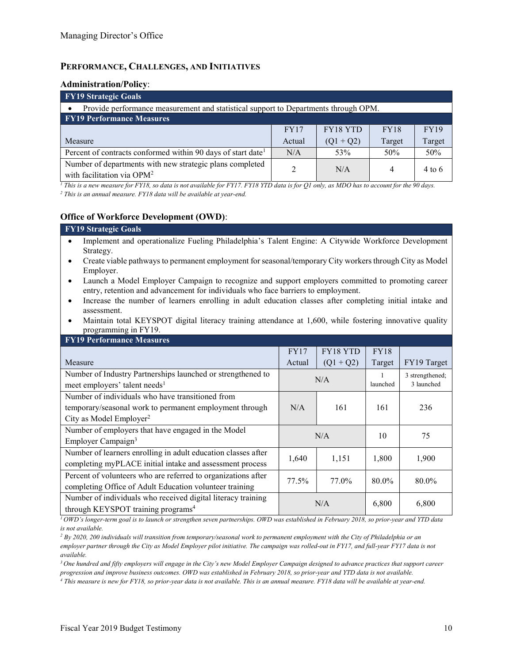## PERFORMANCE, CHALLENGES, AND INITIATIVES

#### Administration/Policy:

| <b>FY19 Strategic Goals</b>                                                                        |               |             |             |             |  |  |
|----------------------------------------------------------------------------------------------------|---------------|-------------|-------------|-------------|--|--|
| Provide performance measurement and statistical support to Departments through OPM.                |               |             |             |             |  |  |
| <b>FY19 Performance Measures</b>                                                                   |               |             |             |             |  |  |
|                                                                                                    | FY17          | FY18 YTD    | <b>FY18</b> | <b>FY19</b> |  |  |
| Measure                                                                                            | Actual        | $(Q1 + Q2)$ | Target      | Target      |  |  |
| Percent of contracts conformed within 90 days of start date <sup>1</sup>                           | N/A           | 53%         | 50%         | 50%         |  |  |
| Number of departments with new strategic plans completed<br>with facilitation via OPM <sup>2</sup> | $\mathcal{L}$ | N/A         | 4           | $4$ to 6    |  |  |

 $^1$  This is a new measure for FY18, so data is not available for FY17. FY18 YTD data is for Q1 only, as MDO has to account for the 90 days.

<sup>2</sup> This is an annual measure. FY18 data will be available at year-end.

### Office of Workforce Development (OWD):

#### FY19 Strategic Goals

- Implement and operationalize Fueling Philadelphia's Talent Engine: A Citywide Workforce Development Strategy.
- Create viable pathways to permanent employment for seasonal/temporary City workers through City as Model Employer.
- Launch a Model Employer Campaign to recognize and support employers committed to promoting career entry, retention and advancement for individuals who face barriers to employment.
- Increase the number of learners enrolling in adult education classes after completing initial intake and assessment.
- Maintain total KEYSPOT digital literacy training attendance at 1,600, while fostering innovative quality programming in FY19.

| <b>FY19 Performance Measures</b>                              |        |             |             |                 |
|---------------------------------------------------------------|--------|-------------|-------------|-----------------|
|                                                               | FY17   | FY18 YTD    | <b>FY18</b> |                 |
| Measure                                                       | Actual | $(Q1 + Q2)$ | Target      | FY19 Target     |
| Number of Industry Partnerships launched or strengthened to   |        |             |             | 3 strengthened; |
| meet employers' talent needs <sup>1</sup>                     | N/A    |             | launched    | 3 launched      |
| Number of individuals who have transitioned from              |        |             |             |                 |
| temporary/seasonal work to permanent employment through       | N/A    | 161         | 161         | 236             |
| City as Model Employer <sup>2</sup>                           |        |             |             |                 |
| Number of employers that have engaged in the Model            | N/A    |             | 10          | 75              |
| Employer Campaign <sup>3</sup>                                |        |             |             |                 |
| Number of learners enrolling in adult education classes after | 1,640  | 1,151       | 1,800       | 1,900           |
| completing myPLACE initial intake and assessment process      |        |             |             |                 |
| Percent of volunteers who are referred to organizations after | 77.5%  | 77.0%       | 80.0%       | 80.0%           |
| completing Office of Adult Education volunteer training       |        |             |             |                 |
| Number of individuals who received digital literacy training  | N/A    |             | 6,800       | 6,800           |
| through KEYSPOT training programs <sup>4</sup>                |        |             |             |                 |

 $1$ OWD's longer-term goal is to launch or strengthen seven partnerships. OWD was established in February 2018, so prior-year and YTD data is not available.

 $3$  One hundred and fifty employers will engage in the City's new Model Employer Campaign designed to advance practices that support career progression and improve business outcomes. OWD was established in February 2018, so prior-year and YTD data is not available.

4 This measure is new for FY18, so prior-year data is not available. This is an annual measure. FY18 data will be available at year-end.

 $^2$  By 2020, 200 individuals will transition from temporary/seasonal work to permanent employment with the City of Philadelphia or an employer partner through the City as Model Employer pilot initiative. The campaign was rolled-out in FY17, and full-year FY17 data is not available.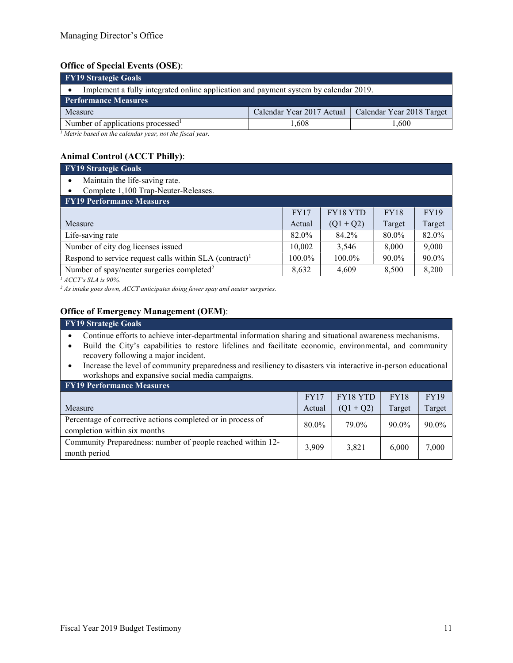## Office of Special Events (OSE):

| <b>FY19 Strategic Goals</b>                                                          |                                                       |      |
|--------------------------------------------------------------------------------------|-------------------------------------------------------|------|
| Implement a fully integrated online application and payment system by calendar 2019. |                                                       |      |
| <b>Performance Measures</b>                                                          |                                                       |      |
| Measure                                                                              | Calendar Year 2017 Actual   Calendar Year 2018 Target |      |
| Number of applications processed <sup>1</sup>                                        | 1.608                                                 | .600 |
| $1$ Metric based on the calendar year, not the fiscal year.                          |                                                       |      |

# Animal Control (ACCT Philly):

| <b>FY19 Strategic Goals</b>                                           |             |             |        |             |
|-----------------------------------------------------------------------|-------------|-------------|--------|-------------|
| Maintain the life-saving rate.                                        |             |             |        |             |
| Complete 1,100 Trap-Neuter-Releases.                                  |             |             |        |             |
| <b>FY19 Performance Measures</b>                                      |             |             |        |             |
|                                                                       | <b>FY17</b> | FY18 YTD    | FY18   | <b>FY19</b> |
| Measure                                                               | Actual      | $(Q1 + Q2)$ | Target | Target      |
| Life-saving rate                                                      | 82.0%       | 84.2%       | 80.0%  | 82.0%       |
| Number of city dog licenses issued                                    | 10,002      | 3,546       | 8,000  | 9,000       |
| Respond to service request calls within $SLA$ (contract) <sup>1</sup> | 100.0%      | 100.0%      | 90.0%  | 90.0%       |
| Number of spay/neuter surgeries completed <sup>2</sup>                | 8,632       | 4,609       | 8,500  | 8,200       |

 $^1$  ACCT's SLA is 90%.

 $2$  As intake goes down, ACCT anticipates doing fewer spay and neuter surgeries.

## Office of Emergency Management (OEM):

# FY19 Strategic Goals

- Continue efforts to achieve inter-departmental information sharing and situational awareness mechanisms.
- Build the City's capabilities to restore lifelines and facilitate economic, environmental, and community recovery following a major incident.
- Increase the level of community preparedness and resiliency to disasters via interactive in-person educational workshops and expansive social media campaigns.

| <b>FY19 Performance Measures</b>                                                            |        |             |             |             |
|---------------------------------------------------------------------------------------------|--------|-------------|-------------|-------------|
|                                                                                             | FY17   | FY18 YTD    | <b>FY18</b> | <b>FY19</b> |
| Measure                                                                                     | Actual | $(Q1 + Q2)$ | Target      | Target      |
| Percentage of corrective actions completed or in process of<br>completion within six months | 80.0%  | 79.0%       | $90.0\%$    | $90.0\%$    |
| Community Preparedness: number of people reached within 12-<br>month period                 | 3,909  | 3,821       | 6.000       | 7,000       |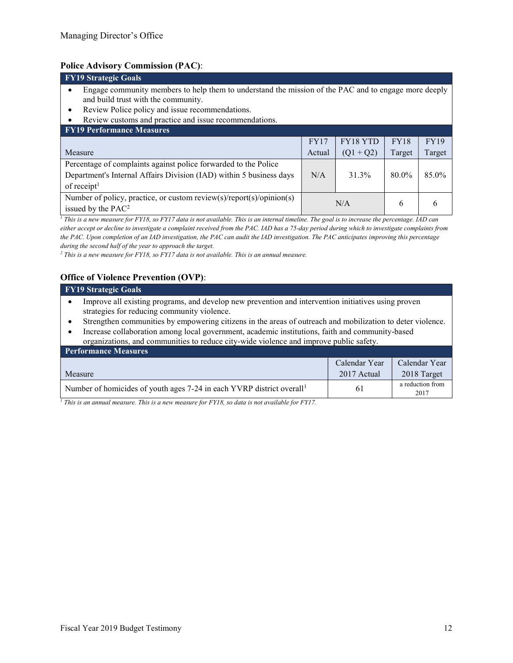## Police Advisory Commission (PAC):

| FY17   | FY18 YTD    | <b>FY18</b> | <b>FY19</b>                                                                                          |
|--------|-------------|-------------|------------------------------------------------------------------------------------------------------|
| Actual | $(Q1 + Q2)$ | Target      | Target                                                                                               |
|        |             |             |                                                                                                      |
| N/A    | 31.3%       | 80.0%       | 85.0%                                                                                                |
|        |             |             |                                                                                                      |
|        |             | 6           | 6                                                                                                    |
|        |             | N/A         | Engage community members to help them to understand the mission of the PAC and to engage more deeply |

 $<sup>1</sup>$  This is a new measure for FY18, so FY17 data is not available. This is an internal timeline. The goal is to increase the percentage. IAD can</sup> either accept or decline to investigate a complaint received from the PAC. IAD has a 75-day period during which to investigate complaints from the PAC. Upon completion of an IAD investigation, the PAC can audit the IAD investigation. The PAC anticipates improving this percentage during the second half of the year to approach the target.

<sup>2</sup> This is a new measure for FY18, so FY17 data is not available. This is an annual measure.

### Office of Violence Prevention (OVP):

#### FY19 Strategic Goals

- Improve all existing programs, and develop new prevention and intervention initiatives using proven strategies for reducing community violence.
- Strengthen communities by empowering citizens in the areas of outreach and mobilization to deter violence.
- Increase collaboration among local government, academic institutions, faith and community-based organizations, and communities to reduce city-wide violence and improve public safety.

| <b>Performance Measures</b>                                                       |               |                          |  |  |  |  |  |
|-----------------------------------------------------------------------------------|---------------|--------------------------|--|--|--|--|--|
|                                                                                   | Calendar Year | Calendar Year            |  |  |  |  |  |
| Measure                                                                           | 2017 Actual   | 2018 Target              |  |  |  |  |  |
| Number of homicides of youth ages 7-24 in each YVRP district overall <sup>1</sup> | 61            | a reduction from<br>2017 |  |  |  |  |  |

<sup>1</sup> This is an annual measure. This is a new measure for FY18, so data is not available for FY17.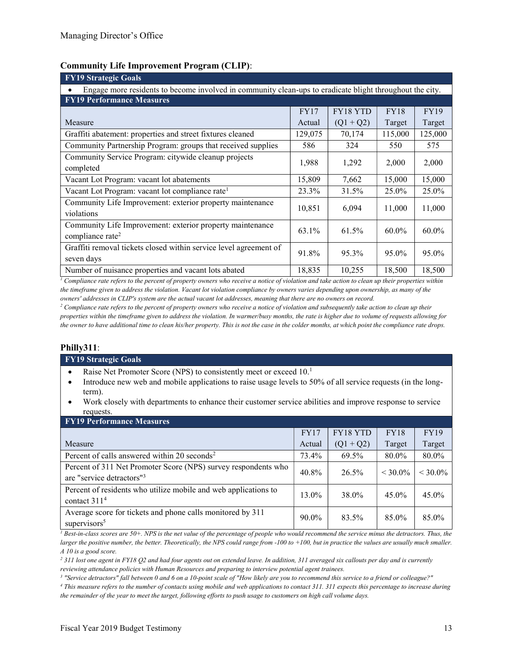### Community Life Improvement Program (CLIP):

| <b>FY19 Strategic Goals</b>                                                                              |         |                 |             |             |  |  |  |  |
|----------------------------------------------------------------------------------------------------------|---------|-----------------|-------------|-------------|--|--|--|--|
| Engage more residents to become involved in community clean-ups to eradicate blight throughout the city. |         |                 |             |             |  |  |  |  |
| <b>FY19 Performance Measures</b>                                                                         |         |                 |             |             |  |  |  |  |
|                                                                                                          | FY17    | <b>FY18 YTD</b> | <b>FY18</b> | <b>FY19</b> |  |  |  |  |
| Measure                                                                                                  | Actual  | $(Q1 + Q2)$     | Target      | Target      |  |  |  |  |
| Graffiti abatement: properties and street fixtures cleaned                                               | 129,075 | 70,174          | 115,000     | 125,000     |  |  |  |  |
| Community Partnership Program: groups that received supplies                                             | 586     | 324             | 550         | 575         |  |  |  |  |
| Community Service Program: citywide cleanup projects                                                     | 1,988   | 1,292           | 2,000       | 2,000       |  |  |  |  |
| completed                                                                                                |         |                 |             |             |  |  |  |  |
| Vacant Lot Program: vacant lot abatements                                                                | 15,809  | 7,662           | 15,000      | 15,000      |  |  |  |  |
| Vacant Lot Program: vacant lot compliance rate <sup>1</sup>                                              | 23.3%   | 31.5%           | 25.0%       | 25.0%       |  |  |  |  |
| Community Life Improvement: exterior property maintenance                                                |         |                 |             |             |  |  |  |  |
| 10,851<br>11,000<br>6,094<br>11,000<br>violations                                                        |         |                 |             |             |  |  |  |  |
| Community Life Improvement: exterior property maintenance                                                | 63.1%   | 61.5%           | $60.0\%$    | $60.0\%$    |  |  |  |  |
| compliance rate <sup>2</sup>                                                                             |         |                 |             |             |  |  |  |  |
| Graffiti removal tickets closed within service level agreement of<br>91.8%<br>95.3%<br>95.0%             |         |                 |             |             |  |  |  |  |
| seven days                                                                                               |         |                 |             | 95.0%       |  |  |  |  |
| Number of nuisance properties and vacant lots abated                                                     | 18,835  | 10,255          | 18,500      | 18,500      |  |  |  |  |

 $^1$  Compliance rate refers to the percent of property owners who receive a notice of violation and take action to clean up their properties within the timeframe given to address the violation. Vacant lot violation compliance by owners varies depending upon ownership, as many of the owners' addresses in CLIP's system are the actual vacant lot addresses, meaning that there are no owners on record.

 $^2$  Compliance rate refers to the percent of property owners who receive a notice of violation and subsequently take action to clean up their properties within the timeframe given to address the violation. In warmer/busy months, the rate is higher due to volume of requests allowing for the owner to have additional time to clean his/her property. This is not the case in the colder months, at which point the compliance rate drops.

#### Philly311:

#### FY19 Strategic Goals

- Raise Net Promoter Score (NPS) to consistently meet or exceed 10.<sup>1</sup>
- Introduce new web and mobile applications to raise usage levels to 50% of all service requests (in the longterm).
- Work closely with departments to enhance their customer service abilities and improve response to service requests.

| <b>FY19 Performance Measures</b>                                                                        |             |             |             |             |  |  |  |  |
|---------------------------------------------------------------------------------------------------------|-------------|-------------|-------------|-------------|--|--|--|--|
|                                                                                                         | <b>FY17</b> | FY18 YTD    | <b>FY18</b> | <b>FY19</b> |  |  |  |  |
| Measure                                                                                                 | Actual      | $(Q1 + Q2)$ | Target      | Target      |  |  |  |  |
| Percent of calls answered within 20 seconds <sup>2</sup>                                                | 73.4%       | 69.5%       | 80.0%       | 80.0%       |  |  |  |  |
| Percent of 311 Net Promoter Score (NPS) survey respondents who<br>are "service detractors" <sup>3</sup> | 40.8%       | 26.5%       | $<$ 30.0%   | $<$ 30.0%   |  |  |  |  |
| Percent of residents who utilize mobile and web applications to<br>contact $3114$                       | 13.0%       | 38.0%       | 45.0%       | 45.0%       |  |  |  |  |
| Average score for tickets and phone calls monitored by 311<br>supervisors <sup>5</sup>                  | 90.0%       | 83.5%       | 85.0%       | 85.0%       |  |  |  |  |

 $I$  Best-in-class scores are 50+. NPS is the net value of the percentage of people who would recommend the service minus the detractors. Thus, the larger the positive number, the better. Theoretically, the NPS could range from -100 to +100, but in practice the values are usually much smaller. A 10 is a good score.

<sup>2</sup> 311 lost one agent in FY18 Q2 and had four agents out on extended leave. In addition, 311 averaged six callouts per day and is currently

reviewing attendance policies with Human Resources and preparing to interview potential agent trainees.

3 "Service detractors" fall between 0 and 6 on a 10-point scale of "How likely are you to recommend this service to a friend or colleague?"

4 This measure refers to the number of contacts using mobile and web applications to contact 311. 311 expects this percentage to increase during the remainder of the year to meet the target, following efforts to push usage to customers on high call volume days.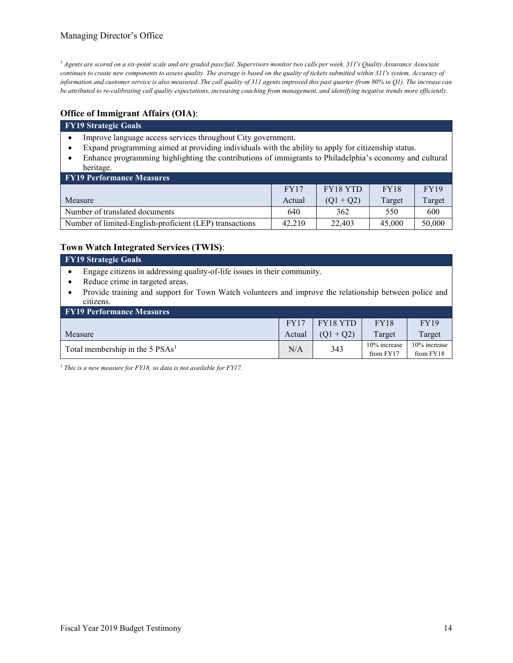<sup>5</sup> Agents are scored on a six-point scale and are graded pass/fail. Supervisors monitor two calls per week. 311's Quality Assurance Associate continues to create new components to assess quality. The average is based on the quality of tickets submitted within 311's system. Accuracy of information and customer service is also measured. The call quality of 311 agents improved this past quarter (from 80% in Q1). The increase can be attributed to re-calibrating call quality expectations, increasing coaching from management, and identifying negative trends more efficiently.

## Office of Immigrant Affairs (OIA):

#### FY19 Strategic Goals

- Improve language access services throughout City government.
- Expand programming aimed at providing individuals with the ability to apply for citizenship status.
- Enhance programming highlighting the contributions of immigrants to Philadelphia's economy and cultural heritage.

| <b>FY19 Performance Measures</b>                        |        |             |        |        |  |  |  |
|---------------------------------------------------------|--------|-------------|--------|--------|--|--|--|
|                                                         | FY17   | FY18 YTD    | FY18   | FY19   |  |  |  |
| Measure                                                 | Actual | $(01 + 02)$ | Target | Target |  |  |  |
| Number of translated documents                          | 640    | 362         | 550    | 600    |  |  |  |
| Number of limited-English-proficient (LEP) transactions | 42,210 | 22,403      | 45,000 | 50,000 |  |  |  |

## Town Watch Integrated Services (TWIS):

| FY19 Strategic Goals                                                                                     |
|----------------------------------------------------------------------------------------------------------|
| • Engage citizens in addressing quality-of-life issues in their community.                               |
| • Reduce crime in targeted areas.                                                                        |
| • Provide training and support for Town Watch volunteers and improve the relationship between police and |
| citizens.                                                                                                |

| <b>FY19 Performance Measures</b>            |        |             |                              |                           |  |  |  |
|---------------------------------------------|--------|-------------|------------------------------|---------------------------|--|--|--|
|                                             | FY17   | FY18 YTD    | <b>FY18</b>                  | <b>FY19</b>               |  |  |  |
| Measure                                     | Actual | $(01 + 02)$ | Target                       | Target                    |  |  |  |
| Total membership in the 5 PSAs <sup>1</sup> | N/A    | 343         | $10\%$ increase<br>from FY17 | 10% increase<br>from FY18 |  |  |  |

<sup>1</sup> This is a new measure for FY18, so data is not available for FY17.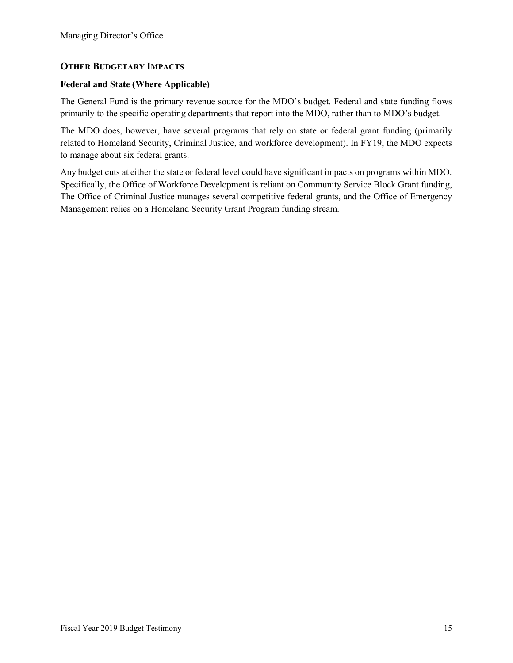## OTHER BUDGETARY IMPACTS

### Federal and State (Where Applicable)

The General Fund is the primary revenue source for the MDO's budget. Federal and state funding flows primarily to the specific operating departments that report into the MDO, rather than to MDO's budget.

The MDO does, however, have several programs that rely on state or federal grant funding (primarily related to Homeland Security, Criminal Justice, and workforce development). In FY19, the MDO expects to manage about six federal grants.

Any budget cuts at either the state or federal level could have significant impacts on programs within MDO. Specifically, the Office of Workforce Development is reliant on Community Service Block Grant funding, The Office of Criminal Justice manages several competitive federal grants, and the Office of Emergency Management relies on a Homeland Security Grant Program funding stream.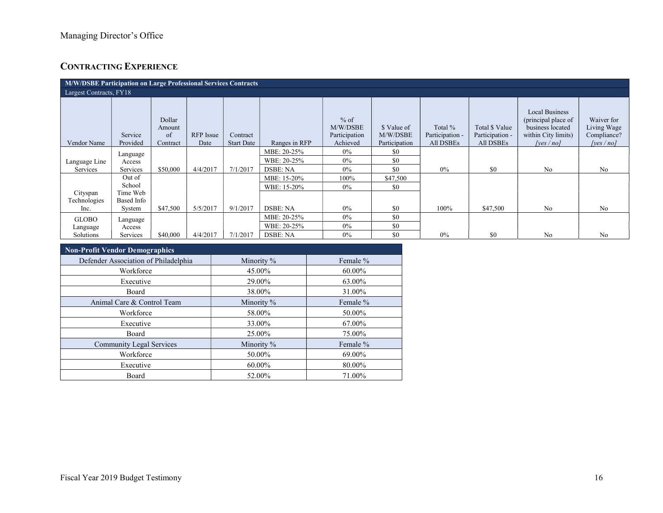# CONTRACTING EXPERIENCE

| M/W/DSBE Participation on Large Professional Services Contracts |                     |                                    |                          |                               |               |                                                 |                                          |                                                |                                                |                                                                                                         |                                                          |
|-----------------------------------------------------------------|---------------------|------------------------------------|--------------------------|-------------------------------|---------------|-------------------------------------------------|------------------------------------------|------------------------------------------------|------------------------------------------------|---------------------------------------------------------------------------------------------------------|----------------------------------------------------------|
| Largest Contracts, FY18                                         |                     |                                    |                          |                               |               |                                                 |                                          |                                                |                                                |                                                                                                         |                                                          |
| Vendor Name                                                     | Service<br>Provided | Dollar<br>Amount<br>of<br>Contract | <b>RFP</b> Issue<br>Date | Contract<br><b>Start Date</b> | Ranges in RFP | $%$ of<br>M/W/DSBE<br>Participation<br>Achieved | \$ Value of<br>M/W/DSBE<br>Participation | Total %<br>Participation -<br><b>All DSBEs</b> | Total \$ Value<br>Participation -<br>All DSBEs | <b>Local Business</b><br>(principal place of<br>business located<br>within City limits)<br>[ves $/$ no] | Waiver for<br>Living Wage<br>Compliance?<br>[yes $/no$ ] |
|                                                                 | Language            |                                    |                          |                               | MBE: 20-25%   | $0\%$                                           | \$0                                      |                                                |                                                |                                                                                                         |                                                          |
| Language Line                                                   | Access              |                                    |                          |                               | WBE: 20-25%   | $0\%$                                           | \$0                                      |                                                |                                                |                                                                                                         |                                                          |
| Services                                                        | Services            | \$50,000                           | 4/4/2017                 | 7/1/2017                      | DSBE: NA      | $0\%$                                           | \$0                                      | $0\%$                                          | \$0                                            | N <sub>o</sub>                                                                                          | N <sub>o</sub>                                           |
|                                                                 | Out of              |                                    |                          |                               | MBE: 15-20%   | 100%                                            | \$47,500                                 |                                                |                                                |                                                                                                         |                                                          |
|                                                                 | School              |                                    |                          |                               | WBE: 15-20%   | $0\%$                                           | \$0                                      |                                                |                                                |                                                                                                         |                                                          |
| Cityspan                                                        | Time Web            |                                    |                          |                               |               |                                                 |                                          |                                                |                                                |                                                                                                         |                                                          |
| Technologies<br>Inc.                                            | Based Info          | \$47,500                           | 5/5/2017                 | 9/1/2017                      | DSBE: NA      | $0\%$                                           | \$0                                      | 100%                                           | \$47,500                                       | N <sub>o</sub>                                                                                          | N <sub>o</sub>                                           |
|                                                                 | System              |                                    |                          |                               |               |                                                 |                                          |                                                |                                                |                                                                                                         |                                                          |
| <b>GLOBO</b>                                                    | Language            |                                    |                          |                               | MBE: 20-25%   | $0\%$                                           | \$0                                      |                                                |                                                |                                                                                                         |                                                          |
| Language                                                        | Access              |                                    |                          |                               | WBE: 20-25%   | $0\%$                                           | \$0                                      |                                                |                                                |                                                                                                         |                                                          |
| Solutions                                                       | Services            | \$40,000                           | 4/4/2017                 | 7/1/2017                      | DSBE: NA      | $0\%$                                           | \$0                                      | 0%                                             | \$0                                            | No                                                                                                      | N <sub>o</sub>                                           |

| Non-Profit Vendor Demographics       |            |          |  |  |  |  |  |
|--------------------------------------|------------|----------|--|--|--|--|--|
| Defender Association of Philadelphia | Minority % | Female % |  |  |  |  |  |
| Workforce                            | 45.00%     | 60.00%   |  |  |  |  |  |
| Executive                            | 29.00%     | 63.00%   |  |  |  |  |  |
| <b>Board</b>                         | 38.00%     | 31.00%   |  |  |  |  |  |
| Animal Care & Control Team           | Minority % | Female % |  |  |  |  |  |
| Workforce                            | 58.00%     | 50.00%   |  |  |  |  |  |
| Executive                            | 33.00%     | 67.00%   |  |  |  |  |  |
| Board                                | 25.00%     | 75.00%   |  |  |  |  |  |
| <b>Community Legal Services</b>      | Minority % | Female % |  |  |  |  |  |
| Workforce                            | 50.00%     | 69.00%   |  |  |  |  |  |
| Executive                            | 60.00%     | 80.00%   |  |  |  |  |  |
| Board                                | 52.00%     | 71.00%   |  |  |  |  |  |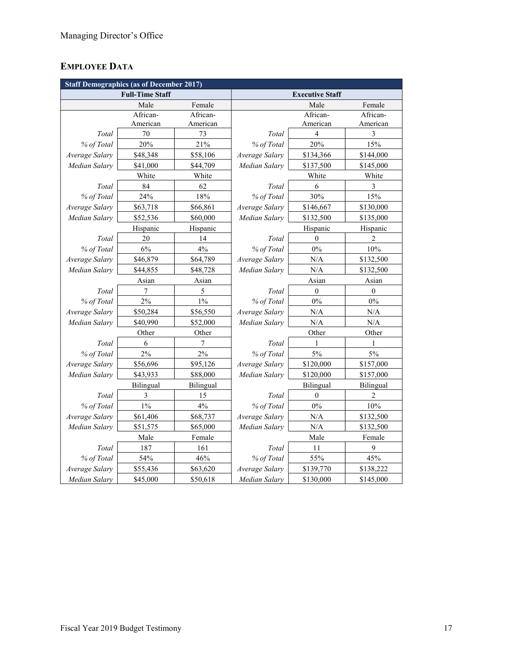# EMPLOYEE DATA

| <b>Staff Demographics (as of December 2017)</b> |                        |           |                        |           |                |  |  |
|-------------------------------------------------|------------------------|-----------|------------------------|-----------|----------------|--|--|
|                                                 | <b>Full-Time Staff</b> |           | <b>Executive Staff</b> |           |                |  |  |
|                                                 | Male                   | Female    |                        | Male      | Female         |  |  |
|                                                 | African-               | African-  |                        | African-  | African-       |  |  |
|                                                 | American               | American  |                        | American  | American       |  |  |
| Total                                           | 70                     | 73        | Total                  | 4         | 3              |  |  |
| % of Total                                      | 20%                    | 21%       | % of Total             | 20%       | 15%            |  |  |
| Average Salary                                  | \$48,348               | \$58,106  | Average Salary         | \$134,366 | \$144,000      |  |  |
| Median Salary                                   | \$41,000               | \$44,709  | Median Salary          | \$137,500 | \$145,000      |  |  |
|                                                 | White                  | White     |                        | White     | White          |  |  |
| Total                                           | 84                     | 62        | Total                  | 6         | 3              |  |  |
| % of Total                                      | 24%                    | 18%       | % of Total             | 30%       | 15%            |  |  |
| Average Salary                                  | \$63,718               | \$66,861  | Average Salary         | \$146,667 | \$130,000      |  |  |
| Median Salary                                   | \$52,536               | \$60,000  | Median Salary          | \$132,500 | \$135,000      |  |  |
|                                                 | Hispanic               | Hispanic  |                        | Hispanic  | Hispanic       |  |  |
| Total                                           | 20                     | 14        | Total                  | $\theta$  | 2              |  |  |
| % of Total                                      | $6\%$                  | 4%        | % of Total             | $0\%$     | 10%            |  |  |
| Average Salary                                  | \$46,879               | \$64,789  | Average Salary         | N/A       | \$132,500      |  |  |
| Median Salary                                   | \$44,855               | \$48,728  | Median Salary          | N/A       | \$132,500      |  |  |
| Asian                                           |                        | Asian     |                        | Asian     | Asian          |  |  |
| Total                                           | 7                      | 5         | Total                  | $\theta$  | $\theta$       |  |  |
| % of Total                                      | 2%                     | $1\%$     | % of Total             | $0\%$     | $0\%$          |  |  |
| Average Salary                                  | \$50,284               | \$56,550  | Average Salary         | N/A       | $\rm N/A$      |  |  |
| Median Salary                                   | \$40,990               | \$52,000  | Median Salarv          | N/A       | N/A            |  |  |
|                                                 | Other                  | Other     |                        | Other     | Other          |  |  |
| Total                                           | 6                      | 7         | Total                  | 1         | 1              |  |  |
| % of Total                                      | 2%                     | 2%        | % of Total             | $5\%$     | 5%             |  |  |
| Average Salary                                  | \$56,696               | \$95,126  | Average Salary         | \$120,000 | \$157,000      |  |  |
| Median Salary                                   | \$43,933               | \$88,000  | Median Salary          | \$120,000 | \$157,000      |  |  |
|                                                 | Bilingual              | Bilingual |                        | Bilingual | Bilingual      |  |  |
| Total                                           | 3                      | 15        | Total                  | $\theta$  | $\overline{2}$ |  |  |
| % of Total                                      | 1%                     | 4%        | % of Total             | $0\%$     | 10%            |  |  |
| Average Salary                                  | \$61,406               | \$68,737  | Average Salary         | N/A       | \$132,500      |  |  |
| Median Salary                                   | \$51,575               | \$65,000  | Median Salary          | N/A       | \$132,500      |  |  |
|                                                 | Male                   | Female    | Male                   |           | Female         |  |  |
| Total                                           | 187                    | 161       | Total                  | 11        | 9              |  |  |
| % of Total                                      | 54%                    | 46%       | % of Total             | 55%       | 45%            |  |  |
| Average Salary                                  | \$55,436               | \$63,620  | Average Salary         | \$139,770 | \$138,222      |  |  |
| Median Salary                                   | \$45,000               | \$50,618  | Median Salary          | \$130,000 | \$145,000      |  |  |